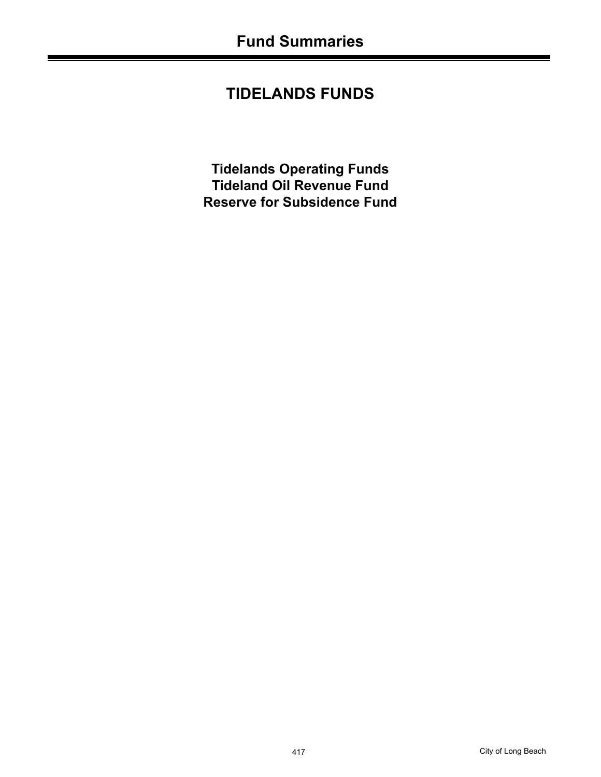# **TIDELANDS FUNDS**

**Tidelands Operating Funds Tideland Oil Revenue Fund Reserve for Subsidence Fund**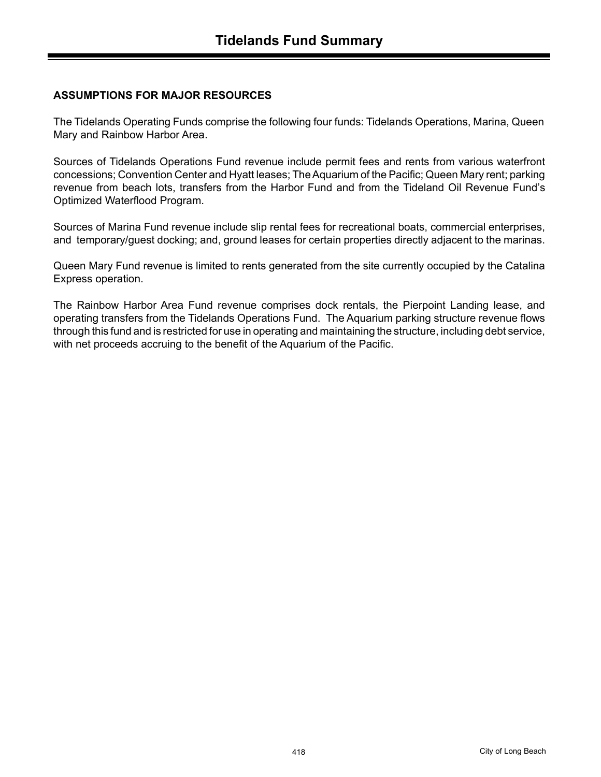## **ASSUMPTIONS FOR MAJOR RESOURCES**

The Tidelands Operating Funds comprise the following four funds: Tidelands Operations, Marina, Queen Mary and Rainbow Harbor Area.

Sources of Tidelands Operations Fund revenue include permit fees and rents from various waterfront concessions; Convention Center and Hyatt leases; The Aquarium of the Pacific; Queen Mary rent; parking revenue from beach lots, transfers from the Harbor Fund and from the Tideland Oil Revenue Fund's Optimized Waterflood Program.

Sources of Marina Fund revenue include slip rental fees for recreational boats, commercial enterprises, and temporary/guest docking; and, ground leases for certain properties directly adjacent to the marinas.

Queen Mary Fund revenue is limited to rents generated from the site currently occupied by the Catalina Express operation.

The Rainbow Harbor Area Fund revenue comprises dock rentals, the Pierpoint Landing lease, and operating transfers from the Tidelands Operations Fund. The Aquarium parking structure revenue flows through this fund and is restricted for use in operating and maintaining the structure, including debt service, with net proceeds accruing to the benefit of the Aquarium of the Pacific.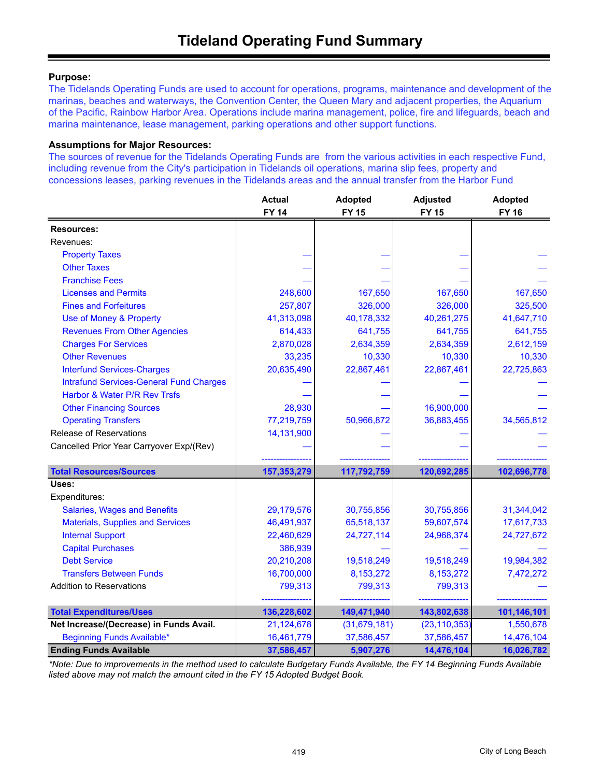### **Purpose:**

The Tidelands Operating Funds are used to account for operations, programs, maintenance and development of the marinas, beaches and waterways, the Convention Center, the Queen Mary and adjacent properties, the Aquarium of the Pacific, Rainbow Harbor Area. Operations include marina management, police, fire and lifeguards, beach and marina maintenance, lease management, parking operations and other support functions.

#### **Assumptions for Major Resources:**

The sources of revenue for the Tidelands Operating Funds are from the various activities in each respective Fund, including revenue from the City's participation in Tidelands oil operations, marina slip fees, property and concessions leases, parking revenues in the Tidelands areas and the annual transfer from the Harbor Fund

|                                                | <b>Actual</b><br><b>FY 14</b> | <b>Adopted</b><br><b>FY 15</b> | <b>Adjusted</b><br><b>FY 15</b> | <b>Adopted</b><br><b>FY 16</b> |
|------------------------------------------------|-------------------------------|--------------------------------|---------------------------------|--------------------------------|
| <b>Resources:</b>                              |                               |                                |                                 |                                |
| Revenues:                                      |                               |                                |                                 |                                |
| <b>Property Taxes</b>                          |                               |                                |                                 |                                |
| <b>Other Taxes</b>                             |                               |                                |                                 |                                |
| <b>Franchise Fees</b>                          |                               |                                |                                 |                                |
| <b>Licenses and Permits</b>                    | 248,600                       | 167,650                        | 167,650                         | 167,650                        |
| <b>Fines and Forfeitures</b>                   | 257,807                       | 326,000                        | 326,000                         | 325,500                        |
| Use of Money & Property                        | 41,313,098                    | 40,178,332                     | 40,261,275                      | 41,647,710                     |
| <b>Revenues From Other Agencies</b>            | 614,433                       | 641,755                        | 641,755                         | 641,755                        |
| <b>Charges For Services</b>                    | 2,870,028                     | 2,634,359                      | 2,634,359                       | 2,612,159                      |
| <b>Other Revenues</b>                          | 33,235                        | 10,330                         | 10,330                          | 10,330                         |
| <b>Interfund Services-Charges</b>              | 20,635,490                    | 22,867,461                     | 22,867,461                      | 22,725,863                     |
| <b>Intrafund Services-General Fund Charges</b> |                               |                                |                                 |                                |
| Harbor & Water P/R Rev Trsfs                   |                               |                                |                                 |                                |
| <b>Other Financing Sources</b>                 | 28,930                        |                                | 16,900,000                      |                                |
| <b>Operating Transfers</b>                     | 77,219,759                    | 50,966,872                     | 36,883,455                      | 34,565,812                     |
| <b>Release of Reservations</b>                 | 14,131,900                    |                                |                                 |                                |
| Cancelled Prior Year Carryover Exp/(Rev)       |                               |                                |                                 |                                |
|                                                |                               |                                |                                 |                                |
| <b>Total Resources/Sources</b>                 | 157,353,279                   | 117,792,759                    | 120,692,285                     | 102,696,778                    |
| Uses:                                          |                               |                                |                                 |                                |
| Expenditures:                                  |                               |                                |                                 |                                |
| <b>Salaries, Wages and Benefits</b>            | 29,179,576                    | 30,755,856                     | 30,755,856                      | 31,344,042                     |
| <b>Materials, Supplies and Services</b>        | 46,491,937                    | 65,518,137                     | 59,607,574                      | 17,617,733                     |
| <b>Internal Support</b>                        | 22,460,629                    | 24,727,114                     | 24,968,374                      | 24,727,672                     |
| <b>Capital Purchases</b>                       | 386,939                       |                                |                                 |                                |
| <b>Debt Service</b>                            | 20,210,208                    | 19,518,249                     | 19,518,249                      | 19,984,382                     |
| <b>Transfers Between Funds</b>                 | 16,700,000                    | 8,153,272                      | 8,153,272                       | 7,472,272                      |
| <b>Addition to Reservations</b>                | 799,313                       | 799,313                        | 799,313                         |                                |
|                                                |                               |                                |                                 |                                |
| <b>Total Expenditures/Uses</b>                 | 136,228,602                   | 149,471,940                    | 143,802,638                     | 101,146,101                    |
| Net Increase/(Decrease) in Funds Avail.        | 21,124,678                    | (31,679,181)                   | (23, 110, 353)                  | 1,550,678                      |
| <b>Beginning Funds Available*</b>              | 16,461,779                    | 37,586,457                     | 37,586,457                      | 14,476,104                     |
| <b>Ending Funds Available</b>                  | 37,586,457                    | 5,907,276                      | 14,476,104                      | 16,026,782                     |

*\*Note: Due to improvements in the method used to calculate Budgetary Funds Available, the FY 14 Beginning Funds Available listed above may not match the amount cited in the FY 15 Adopted Budget Book.*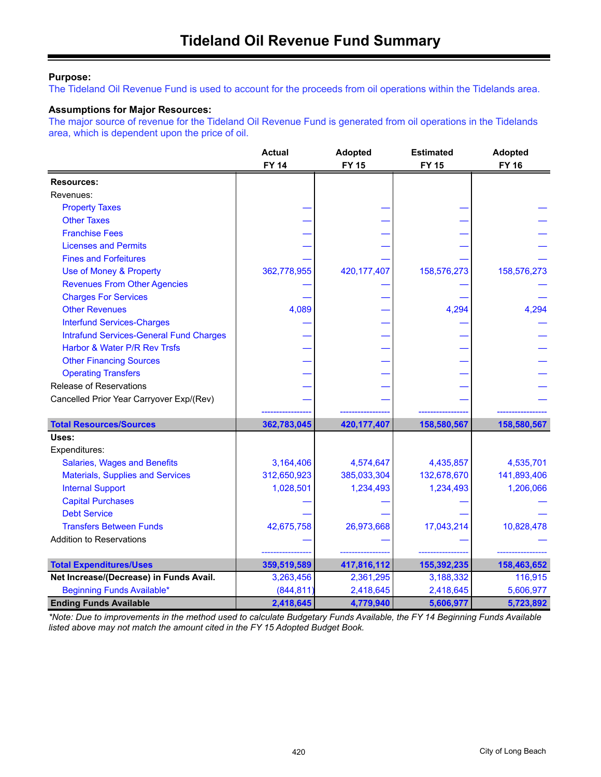### **Purpose:**

The Tideland Oil Revenue Fund is used to account for the proceeds from oil operations within the Tidelands area.

### **Assumptions for Major Resources:**

The major source of revenue for the Tideland Oil Revenue Fund is generated from oil operations in the Tidelands area, which is dependent upon the price of oil.

|                                                | <b>Actual</b><br><b>FY 14</b> | <b>Adopted</b><br><b>FY 15</b> | <b>Estimated</b><br><b>FY 15</b> | <b>Adopted</b><br><b>FY 16</b> |
|------------------------------------------------|-------------------------------|--------------------------------|----------------------------------|--------------------------------|
| <b>Resources:</b>                              |                               |                                |                                  |                                |
| Revenues:                                      |                               |                                |                                  |                                |
| <b>Property Taxes</b>                          |                               |                                |                                  |                                |
| <b>Other Taxes</b>                             |                               |                                |                                  |                                |
| <b>Franchise Fees</b>                          |                               |                                |                                  |                                |
| <b>Licenses and Permits</b>                    |                               |                                |                                  |                                |
| <b>Fines and Forfeitures</b>                   |                               |                                |                                  |                                |
| Use of Money & Property                        | 362,778,955                   | 420, 177, 407                  | 158,576,273                      | 158,576,273                    |
| <b>Revenues From Other Agencies</b>            |                               |                                |                                  |                                |
| <b>Charges For Services</b>                    |                               |                                |                                  |                                |
| <b>Other Revenues</b>                          | 4,089                         |                                | 4,294                            | 4,294                          |
| <b>Interfund Services-Charges</b>              |                               |                                |                                  |                                |
| <b>Intrafund Services-General Fund Charges</b> |                               |                                |                                  |                                |
| Harbor & Water P/R Rev Trsfs                   |                               |                                |                                  |                                |
| <b>Other Financing Sources</b>                 |                               |                                |                                  |                                |
| <b>Operating Transfers</b>                     |                               |                                |                                  |                                |
| Release of Reservations                        |                               |                                |                                  |                                |
| Cancelled Prior Year Carryover Exp/(Rev)       |                               |                                |                                  |                                |
|                                                |                               |                                |                                  |                                |
| <b>Total Resources/Sources</b>                 | 362,783,045                   | 420, 177, 407                  | 158,580,567                      | 158,580,567                    |
| Uses:                                          |                               |                                |                                  |                                |
| Expenditures:                                  |                               |                                |                                  |                                |
| <b>Salaries, Wages and Benefits</b>            | 3,164,406                     | 4,574,647                      | 4,435,857                        | 4,535,701                      |
| <b>Materials, Supplies and Services</b>        | 312,650,923                   | 385,033,304                    | 132,678,670                      | 141,893,406                    |
| <b>Internal Support</b>                        | 1,028,501                     | 1,234,493                      | 1,234,493                        | 1,206,066                      |
| <b>Capital Purchases</b>                       |                               |                                |                                  |                                |
| <b>Debt Service</b>                            |                               |                                |                                  |                                |
| <b>Transfers Between Funds</b>                 | 42,675,758                    | 26,973,668                     | 17,043,214                       | 10,828,478                     |
| <b>Addition to Reservations</b>                |                               |                                |                                  |                                |
|                                                |                               |                                |                                  |                                |
| <b>Total Expenditures/Uses</b>                 | 359,519,589                   | 417,816,112                    | 155,392,235                      | 158,463,652                    |
| Net Increase/(Decrease) in Funds Avail.        | 3,263,456                     | 2,361,295                      | 3,188,332                        | 116,915                        |
| Beginning Funds Available*                     | (844, 811)                    | 2,418,645                      | 2,418,645                        | 5,606,977                      |
| <b>Ending Funds Available</b>                  | 2,418,645                     | 4,779,940                      | 5,606,977                        | 5,723,892                      |

*\*Note: Due to improvements in the method used to calculate Budgetary Funds Available, the FY 14 Beginning Funds Available listed above may not match the amount cited in the FY 15 Adopted Budget Book.*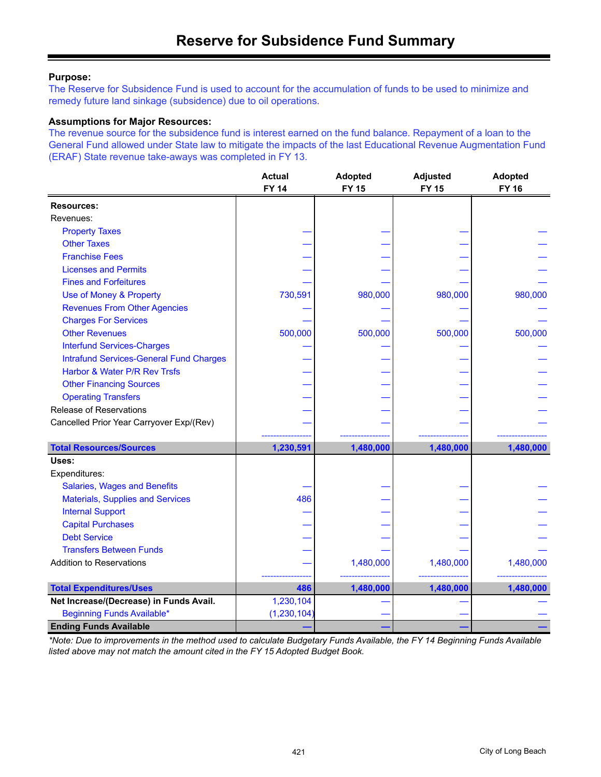### **Purpose:**

The Reserve for Subsidence Fund is used to account for the accumulation of funds to be used to minimize and remedy future land sinkage (subsidence) due to oil operations.

#### **Assumptions for Major Resources:**

The revenue source for the subsidence fund is interest earned on the fund balance. Repayment of a loan to the General Fund allowed under State law to mitigate the impacts of the last Educational Revenue Augmentation Fund (ERAF) State revenue take-aways was completed in FY 13.

|                                                | <b>Actual</b><br><b>FY 14</b> | <b>Adopted</b><br><b>FY 15</b> | <b>Adjusted</b><br><b>FY 15</b> | <b>Adopted</b><br><b>FY 16</b> |
|------------------------------------------------|-------------------------------|--------------------------------|---------------------------------|--------------------------------|
| <b>Resources:</b>                              |                               |                                |                                 |                                |
| Revenues:                                      |                               |                                |                                 |                                |
| <b>Property Taxes</b>                          |                               |                                |                                 |                                |
| <b>Other Taxes</b>                             |                               |                                |                                 |                                |
| <b>Franchise Fees</b>                          |                               |                                |                                 |                                |
| <b>Licenses and Permits</b>                    |                               |                                |                                 |                                |
| <b>Fines and Forfeitures</b>                   |                               |                                |                                 |                                |
| Use of Money & Property                        | 730,591                       | 980,000                        | 980,000                         | 980,000                        |
| <b>Revenues From Other Agencies</b>            |                               |                                |                                 |                                |
| <b>Charges For Services</b>                    |                               |                                |                                 |                                |
| <b>Other Revenues</b>                          | 500,000                       | 500,000                        | 500,000                         | 500,000                        |
| <b>Interfund Services-Charges</b>              |                               |                                |                                 |                                |
| <b>Intrafund Services-General Fund Charges</b> |                               |                                |                                 |                                |
| Harbor & Water P/R Rev Trsfs                   |                               |                                |                                 |                                |
| <b>Other Financing Sources</b>                 |                               |                                |                                 |                                |
| <b>Operating Transfers</b>                     |                               |                                |                                 |                                |
| Release of Reservations                        |                               |                                |                                 |                                |
| Cancelled Prior Year Carryover Exp/(Rev)       |                               |                                |                                 |                                |
|                                                |                               |                                |                                 |                                |
| <b>Total Resources/Sources</b>                 | 1,230,591                     | 1,480,000                      | 1,480,000                       | 1,480,000                      |
| Uses:                                          |                               |                                |                                 |                                |
| Expenditures:                                  |                               |                                |                                 |                                |
| <b>Salaries, Wages and Benefits</b>            |                               |                                |                                 |                                |
| <b>Materials, Supplies and Services</b>        | 486                           |                                |                                 |                                |
| <b>Internal Support</b>                        |                               |                                |                                 |                                |
| <b>Capital Purchases</b>                       |                               |                                |                                 |                                |
| <b>Debt Service</b>                            |                               |                                |                                 |                                |
| <b>Transfers Between Funds</b>                 |                               |                                |                                 |                                |
| <b>Addition to Reservations</b>                |                               | 1,480,000                      | 1,480,000                       | 1,480,000                      |
|                                                |                               |                                |                                 |                                |
| <b>Total Expenditures/Uses</b>                 | 486                           | 1,480,000                      | 1,480,000                       | 1,480,000                      |
| Net Increase/(Decrease) in Funds Avail.        | 1,230,104                     |                                |                                 |                                |
| <b>Beginning Funds Available*</b>              | (1, 230, 104)                 |                                |                                 |                                |
| <b>Ending Funds Available</b>                  |                               |                                |                                 |                                |

*\*Note: Due to improvements in the method used to calculate Budgetary Funds Available, the FY 14 Beginning Funds Available listed above may not match the amount cited in the FY 15 Adopted Budget Book.*